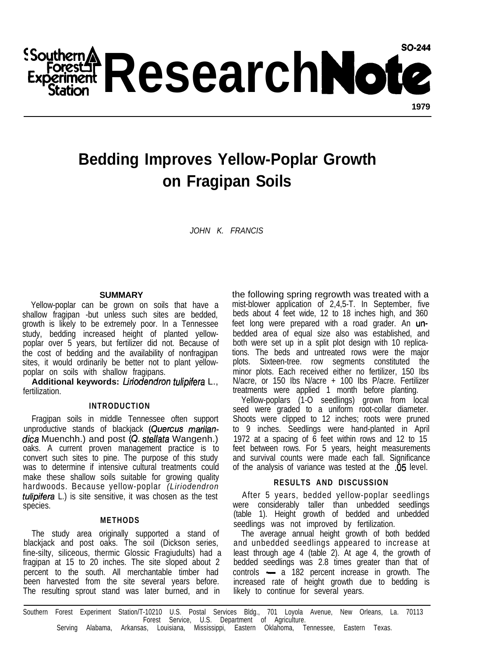Southern **A ResearchNote** 

# **Bedding Improves Yellow-Poplar Growth on Fragipan Soils**

*JOHN K. FRANCIS*

### **SUMMARY**

Yellow-poplar can be grown on soils that have a shallow fragipan -but unless such sites are bedded, growth is likely to be extremely poor. In a Tennessee study, bedding increased height of planted yellowpoplar over 5 years, but fertilizer did not. Because of the cost of bedding and the availability of nonfragipan sites, it would ordinarily be better not to plant yellowpoplar on soils with shallow fragipans.

Additional keywords: Liriodendron tulipifera L., fertilization.

#### **INTRODUCTION**

Fragipan soils in middle Tennessee often support unproductive stands of blackjack (Quercus marilandica Muenchh.) and post (Q. stellata Wangenh.) oaks. A current proven management practice is to convert such sites to pine. The purpose of this study was to determine if intensive cultural treatments could make these shallow soils suitable for growing quality hardwoods. Because yellow-poplar *(Liriodendron tulipifera* L.) is site sensitive, it was chosen as the test species.

## **METHODS**

The study area originally supported a stand of blackjack and post oaks. The soil (Dickson series, fine-silty, siliceous, thermic Glossic Fragiudults) had a fragipan at 15 to 20 inches. The site sloped about 2 percent to the south. All merchantable timber had been harvested from the site several years before. The resulting sprout stand was later burned, and in

the following spring regrowth was treated with a mist-blower application of 2,4,5-T. In September, five beds about 4 feet wide, 12 to 18 inches high, and 360 feet long were prepared with a road grader. An unbedded area of equal size also was established, and both were set up in a split plot design with 10 replications. The beds and untreated rows were the major plots. Sixteen-tree. row segments constituted the minor plots. Each received either no fertilizer, 150 Ibs N/acre, or 150 Ibs N/acre + 100 Ibs P/acre. Fertilizer treatments were applied 1 month before planting.

Yellow-poplars (1-O seedlings) grown from local seed were graded to a uniform root-collar diameter. Shoots were clipped to 12 inches; roots were pruned to 9 inches. Seedlings were hand-planted in April 1972 at a spacing of 6 feet within rows and 12 to 15 feet between rows. For 5 years, height measurements and survival counts were made each fall. Significance of the analysis of variance was tested at the .05 level.

#### **RESULTS AND DISCUSSION**

After 5 years, bedded yellow-poplar seedlings were considerably taller than unbedded seedlings (table 1). Height growth of bedded and unbedded seedlings was not improved by fertilization.

The average annual height growth of both bedded and unbedded seedlings appeared to increase at least through age 4 (table 2). At age 4, the growth of bedded seedlings was 2.8 times greater than that of controls - a 182 percent increase in growth. The increased rate of height growth due to bedding is likely to continue for several years.

Southern Forest Experiment Station/T-10210 U.S. Postal Services Bldg., 701 Loyola Avenue, New Orleans, La. 70113 Forest Service, U.S. Department of Agriculture. Serving Alabama, Arkansas, Louisiana, Mississippi, Eastern Oklahoma, Tennessee, Eastern Texas.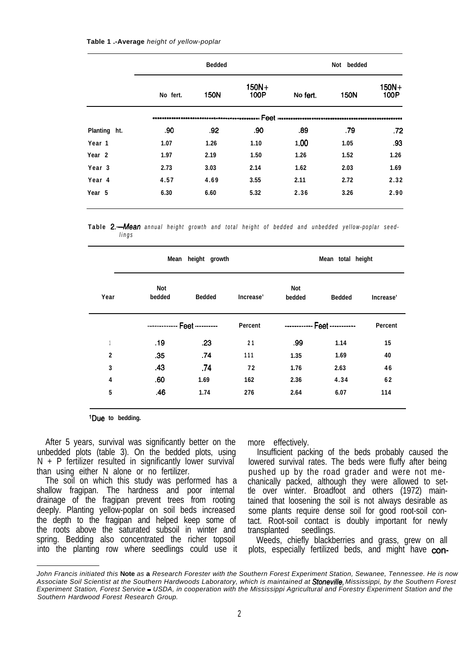| Table 1 .-Average height of yellow-poplar |  |  |
|-------------------------------------------|--|--|
|-------------------------------------------|--|--|

|                   |          | <b>Bedded</b> |                 |          | Not bedded  |                 |
|-------------------|----------|---------------|-----------------|----------|-------------|-----------------|
|                   | No fert. | 150N          | $150N+$<br>100P | No fert. | <b>150N</b> | $150N+$<br>100P |
|                   |          |               | Feet            |          |             |                 |
| Planting ht.      | .90      | .92           | .90             | .89      | .79         | .72             |
| Year 1            | 1.07     | 1.26          | 1.10            | 1.00     | 1.05        | .93             |
| Year <sub>2</sub> | 1.97     | 2.19          | 1.50            | 1.26     | 1.52        | 1.26            |
| Year <sub>3</sub> | 2.73     | 3.03          | 2.14            | 1.62     | 2.03        | 1.69            |
| Year <sub>4</sub> | 4.57     | 4.69          | 3.55            | 2.11     | 2.72        | 2.32            |
| Year 5            | 6.30     | 6.60          | 5.32            | 2.36     | 3.26        | 2.90            |

**Table** *2.-Mean annual height growth and total height of bedded and unbedded yellow-poplar seedlings*

|             | Mean height growth |                              |           |                      | Mean total height |           |  |  |
|-------------|--------------------|------------------------------|-----------|----------------------|-------------------|-----------|--|--|
| Year        | Not<br>bedded      | <b>Bedded</b>                | Increase' | <b>Not</b><br>bedded | <b>Bedded</b>     | Increase' |  |  |
|             |                    | ------------- Feet --------- | Percent   |                      |                   | Percent   |  |  |
|             | .19                | .23                          | 21        | .99                  | 1.14              | 15        |  |  |
| $\mathbf 2$ | .35                | .74                          | 111       | 1.35                 | 1.69              | 40        |  |  |
| 3           | .43                | .74                          | 72        | 1.76                 | 2.63              | 46        |  |  |
| 4           | .60                | 1.69                         | 162       | 2.36                 | 4.34              | 62        |  |  |
| 5           | .46                | 1.74                         | 276       | 2.64                 | 6.07              | 114       |  |  |

**'Due to bedding.**

After 5 years, survival was significantly better on the unbedded plots (table 3). On the bedded plots, using  $N + P$  fertilizer resulted in significantly lower survival than using either N alone or no fertilizer.

The soil on which this study was performed has a shallow fragipan. The hardness and poor internal drainage of the fragipan prevent trees from rooting deeply. Planting yellow-poplar on soil beds increased the depth to the fragipan and helped keep some of the roots above the saturated subsoil in winter and spring. Bedding also concentrated the richer topsoil into the planting row where seedlings could use it more effectively.

Insufficient packing of the beds probably caused the lowered survival rates. The beds were fluffy after being pushed up by the road grader and were not mechanically packed, although they were allowed to settle over winter. Broadfoot and others (1972) maintained that loosening the soil is not always desirable as some plants require dense soil for good root-soil contact. Root-soil contact is doubly important for newly transplanted seedlings.

Weeds, chiefly blackberries and grass, grew on all plots, especially fertilized beds, and might have con-

*John Francis initiated this* **Note** *as* **a** *Research Forester with the Southern Forest Experiment Station, Sewanee, Tennessee. He is now Associate Soil Scientist at the Southern Hardwoods Laboratory, which is maintained at Stoneviiie, Mississippi, by the Southern Forest Experiment Station, Forest Service - USDA, in cooperation with the Mississippi Agricultural and Forestry Experiment Station and the Southern Hardwood Forest Research Group.*